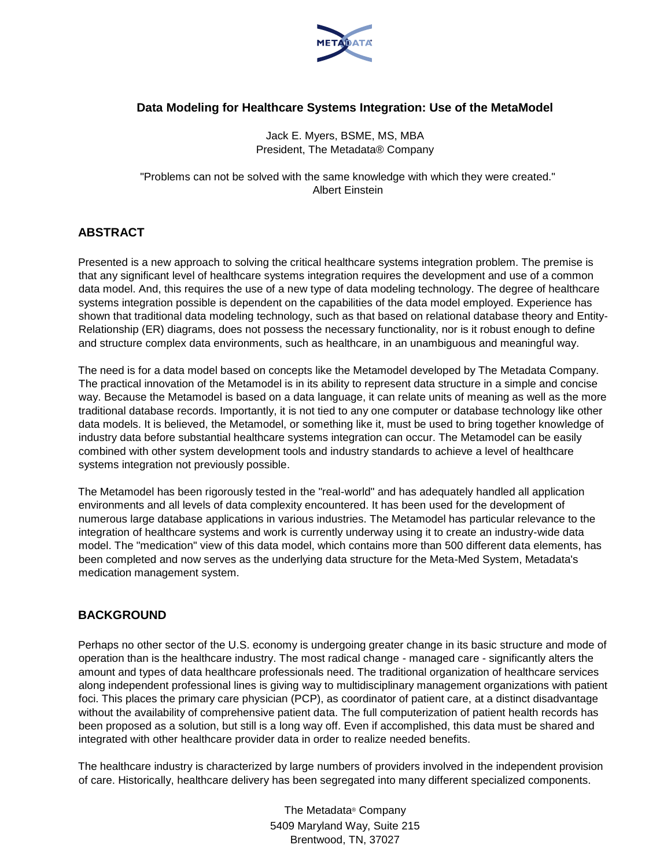

# **Data Modeling for Healthcare Systems Integration: Use of the MetaModel**

Jack E. Myers, BSME, MS, MBA President, The Metadata® Company

"Problems can not be solved with the same knowledge with which they were created." Albert Einstein

# **ABSTRACT**

Presented is a new approach to solving the critical healthcare systems integration problem. The premise is that any significant level of healthcare systems integration requires the development and use of a common data model. And, this requires the use of a new type of data modeling technology. The degree of healthcare systems integration possible is dependent on the capabilities of the data model employed. Experience has shown that traditional data modeling technology, such as that based on relational database theory and Entity-Relationship (ER) diagrams, does not possess the necessary functionality, nor is it robust enough to define and structure complex data environments, such as healthcare, in an unambiguous and meaningful way.

The need is for a data model based on concepts like the Metamodel developed by The Metadata Company. The practical innovation of the Metamodel is in its ability to represent data structure in a simple and concise way. Because the Metamodel is based on a data language, it can relate units of meaning as well as the more traditional database records. Importantly, it is not tied to any one computer or database technology like other data models. It is believed, the Metamodel, or something like it, must be used to bring together knowledge of industry data before substantial healthcare systems integration can occur. The Metamodel can be easily combined with other system development tools and industry standards to achieve a level of healthcare systems integration not previously possible.

The Metamodel has been rigorously tested in the "real-world" and has adequately handled all application environments and all levels of data complexity encountered. It has been used for the development of numerous large database applications in various industries. The Metamodel has particular relevance to the integration of healthcare systems and work is currently underway using it to create an industry-wide data model. The "medication" view of this data model, which contains more than 500 different data elements, has been completed and now serves as the underlying data structure for the Meta-Med System, Metadata's medication management system.

# **BACKGROUND**

Perhaps no other sector of the U.S. economy is undergoing greater change in its basic structure and mode of operation than is the healthcare industry. The most radical change - managed care - significantly alters the amount and types of data healthcare professionals need. The traditional organization of healthcare services along independent professional lines is giving way to multidisciplinary management organizations with patient foci. This places the primary care physician (PCP), as coordinator of patient care, at a distinct disadvantage without the availability of comprehensive patient data. The full computerization of patient health records has been proposed as a solution, but still is a long way off. Even if accomplished, this data must be shared and integrated with other healthcare provider data in order to realize needed benefits.

The healthcare industry is characterized by large numbers of providers involved in the independent provision of care. Historically, healthcare delivery has been segregated into many different specialized components.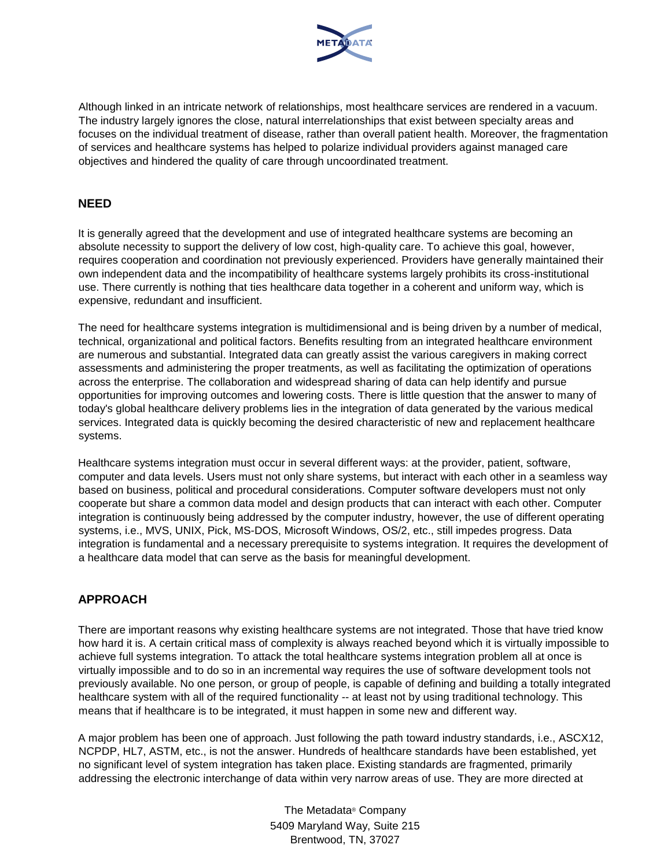

Although linked in an intricate network of relationships, most healthcare services are rendered in a vacuum. The industry largely ignores the close, natural interrelationships that exist between specialty areas and focuses on the individual treatment of disease, rather than overall patient health. Moreover, the fragmentation of services and healthcare systems has helped to polarize individual providers against managed care objectives and hindered the quality of care through uncoordinated treatment.

## **NEED**

It is generally agreed that the development and use of integrated healthcare systems are becoming an absolute necessity to support the delivery of low cost, high-quality care. To achieve this goal, however, requires cooperation and coordination not previously experienced. Providers have generally maintained their own independent data and the incompatibility of healthcare systems largely prohibits its cross-institutional use. There currently is nothing that ties healthcare data together in a coherent and uniform way, which is expensive, redundant and insufficient.

The need for healthcare systems integration is multidimensional and is being driven by a number of medical, technical, organizational and political factors. Benefits resulting from an integrated healthcare environment are numerous and substantial. Integrated data can greatly assist the various caregivers in making correct assessments and administering the proper treatments, as well as facilitating the optimization of operations across the enterprise. The collaboration and widespread sharing of data can help identify and pursue opportunities for improving outcomes and lowering costs. There is little question that the answer to many of today's global healthcare delivery problems lies in the integration of data generated by the various medical services. Integrated data is quickly becoming the desired characteristic of new and replacement healthcare systems.

Healthcare systems integration must occur in several different ways: at the provider, patient, software, computer and data levels. Users must not only share systems, but interact with each other in a seamless way based on business, political and procedural considerations. Computer software developers must not only cooperate but share a common data model and design products that can interact with each other. Computer integration is continuously being addressed by the computer industry, however, the use of different operating systems, i.e., MVS, UNIX, Pick, MS-DOS, Microsoft Windows, OS/2, etc., still impedes progress. Data integration is fundamental and a necessary prerequisite to systems integration. It requires the development of a healthcare data model that can serve as the basis for meaningful development.

# **APPROACH**

There are important reasons why existing healthcare systems are not integrated. Those that have tried know how hard it is. A certain critical mass of complexity is always reached beyond which it is virtually impossible to achieve full systems integration. To attack the total healthcare systems integration problem all at once is virtually impossible and to do so in an incremental way requires the use of software development tools not previously available. No one person, or group of people, is capable of defining and building a totally integrated healthcare system with all of the required functionality -- at least not by using traditional technology. This means that if healthcare is to be integrated, it must happen in some new and different way.

A major problem has been one of approach. Just following the path toward industry standards, i.e., ASCX12, NCPDP, HL7, ASTM, etc., is not the answer. Hundreds of healthcare standards have been established, yet no significant level of system integration has taken place. Existing standards are fragmented, primarily addressing the electronic interchange of data within very narrow areas of use. They are more directed at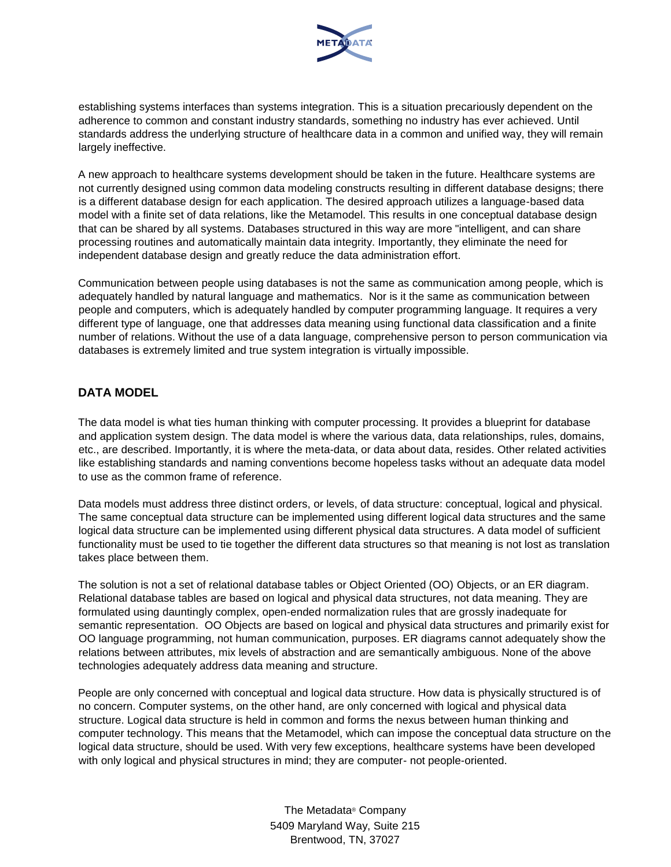

establishing systems interfaces than systems integration. This is a situation precariously dependent on the adherence to common and constant industry standards, something no industry has ever achieved. Until standards address the underlying structure of healthcare data in a common and unified way, they will remain largely ineffective.

A new approach to healthcare systems development should be taken in the future. Healthcare systems are not currently designed using common data modeling constructs resulting in different database designs; there is a different database design for each application. The desired approach utilizes a language-based data model with a finite set of data relations, like the Metamodel. This results in one conceptual database design that can be shared by all systems. Databases structured in this way are more "intelligent, and can share processing routines and automatically maintain data integrity. Importantly, they eliminate the need for independent database design and greatly reduce the data administration effort.

Communication between people using databases is not the same as communication among people, which is adequately handled by natural language and mathematics. Nor is it the same as communication between people and computers, which is adequately handled by computer programming language. It requires a very different type of language, one that addresses data meaning using functional data classification and a finite number of relations. Without the use of a data language, comprehensive person to person communication via databases is extremely limited and true system integration is virtually impossible.

# **DATA MODEL**

The data model is what ties human thinking with computer processing. It provides a blueprint for database and application system design. The data model is where the various data, data relationships, rules, domains, etc., are described. Importantly, it is where the meta-data, or data about data, resides. Other related activities like establishing standards and naming conventions become hopeless tasks without an adequate data model to use as the common frame of reference.

Data models must address three distinct orders, or levels, of data structure: conceptual, logical and physical. The same conceptual data structure can be implemented using different logical data structures and the same logical data structure can be implemented using different physical data structures. A data model of sufficient functionality must be used to tie together the different data structures so that meaning is not lost as translation takes place between them.

The solution is not a set of relational database tables or Object Oriented (OO) Objects, or an ER diagram. Relational database tables are based on logical and physical data structures, not data meaning. They are formulated using dauntingly complex, open-ended normalization rules that are grossly inadequate for semantic representation. OO Objects are based on logical and physical data structures and primarily exist for OO language programming, not human communication, purposes. ER diagrams cannot adequately show the relations between attributes, mix levels of abstraction and are semantically ambiguous. None of the above technologies adequately address data meaning and structure.

People are only concerned with conceptual and logical data structure. How data is physically structured is of no concern. Computer systems, on the other hand, are only concerned with logical and physical data structure. Logical data structure is held in common and forms the nexus between human thinking and computer technology. This means that the Metamodel, which can impose the conceptual data structure on the logical data structure, should be used. With very few exceptions, healthcare systems have been developed with only logical and physical structures in mind; they are computer- not people-oriented.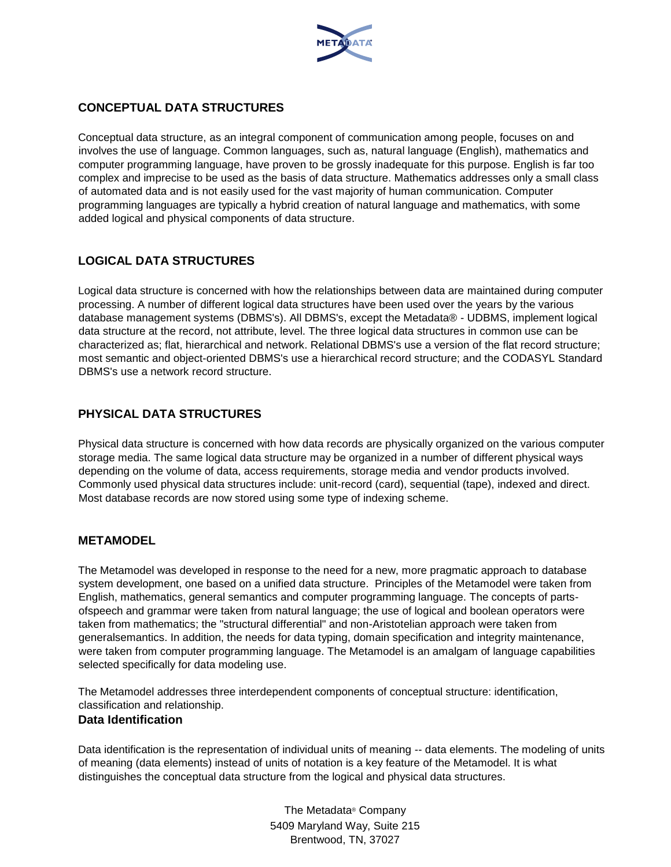

# **CONCEPTUAL DATA STRUCTURES**

Conceptual data structure, as an integral component of communication among people, focuses on and involves the use of language. Common languages, such as, natural language (English), mathematics and computer programming language, have proven to be grossly inadequate for this purpose. English is far too complex and imprecise to be used as the basis of data structure. Mathematics addresses only a small class of automated data and is not easily used for the vast majority of human communication. Computer programming languages are typically a hybrid creation of natural language and mathematics, with some added logical and physical components of data structure.

# **LOGICAL DATA STRUCTURES**

Logical data structure is concerned with how the relationships between data are maintained during computer processing. A number of different logical data structures have been used over the years by the various database management systems (DBMS's). All DBMS's, except the Metadata® - UDBMS, implement logical data structure at the record, not attribute, level. The three logical data structures in common use can be characterized as; flat, hierarchical and network. Relational DBMS's use a version of the flat record structure; most semantic and object-oriented DBMS's use a hierarchical record structure; and the CODASYL Standard DBMS's use a network record structure.

# **PHYSICAL DATA STRUCTURES**

Physical data structure is concerned with how data records are physically organized on the various computer storage media. The same logical data structure may be organized in a number of different physical ways depending on the volume of data, access requirements, storage media and vendor products involved. Commonly used physical data structures include: unit-record (card), sequential (tape), indexed and direct. Most database records are now stored using some type of indexing scheme.

# **METAMODEL**

The Metamodel was developed in response to the need for a new, more pragmatic approach to database system development, one based on a unified data structure. Principles of the Metamodel were taken from English, mathematics, general semantics and computer programming language. The concepts of partsofspeech and grammar were taken from natural language; the use of logical and boolean operators were taken from mathematics; the "structural differential" and non-Aristotelian approach were taken from generalsemantics. In addition, the needs for data typing, domain specification and integrity maintenance, were taken from computer programming language. The Metamodel is an amalgam of language capabilities selected specifically for data modeling use.

The Metamodel addresses three interdependent components of conceptual structure: identification, classification and relationship.

### **Data Identification**

Data identification is the representation of individual units of meaning -- data elements. The modeling of units of meaning (data elements) instead of units of notation is a key feature of the Metamodel. It is what distinguishes the conceptual data structure from the logical and physical data structures.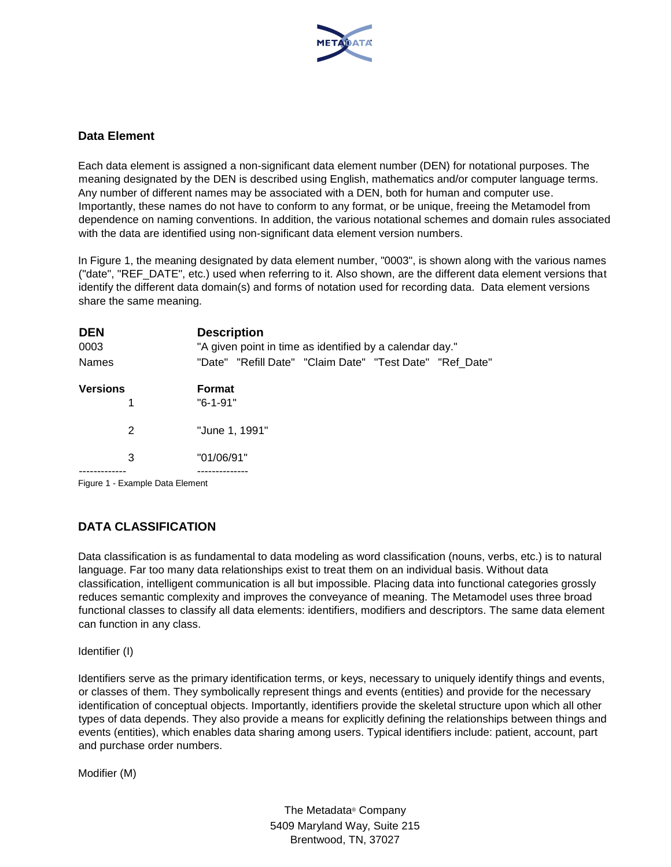

## **Data Element**

Each data element is assigned a non-significant data element number (DEN) for notational purposes. The meaning designated by the DEN is described using English, mathematics and/or computer language terms. Any number of different names may be associated with a DEN, both for human and computer use. Importantly, these names do not have to conform to any format, or be unique, freeing the Metamodel from dependence on naming conventions. In addition, the various notational schemes and domain rules associated with the data are identified using non-significant data element version numbers.

In Figure 1, the meaning designated by data element number, "0003", is shown along with the various names ("date", "REF\_DATE", etc.) used when referring to it. Also shown, are the different data element versions that identify the different data domain(s) and forms of notation used for recording data. Data element versions share the same meaning.

| <b>DEN</b><br>0003 |                               | <b>Description</b><br>"A given point in time as identified by a calendar day." |  |  |  |  |  |  |  |
|--------------------|-------------------------------|--------------------------------------------------------------------------------|--|--|--|--|--|--|--|
| <b>Names</b>       |                               | "Date" "Refill Date" "Claim Date" "Test Date" "Ref Date"                       |  |  |  |  |  |  |  |
| <b>Versions</b>    |                               | <b>Format</b>                                                                  |  |  |  |  |  |  |  |
|                    | 1                             | "6-1-91"                                                                       |  |  |  |  |  |  |  |
|                    | 2                             | "June 1, 1991"                                                                 |  |  |  |  |  |  |  |
|                    | 3                             | "01/06/91"                                                                     |  |  |  |  |  |  |  |
|                    |                               |                                                                                |  |  |  |  |  |  |  |
|                    | Figura 1 Evample Data Flamont |                                                                                |  |  |  |  |  |  |  |

Figure 1 - Example Data Element

# **DATA CLASSIFICATION**

Data classification is as fundamental to data modeling as word classification (nouns, verbs, etc.) is to natural language. Far too many data relationships exist to treat them on an individual basis. Without data classification, intelligent communication is all but impossible. Placing data into functional categories grossly reduces semantic complexity and improves the conveyance of meaning. The Metamodel uses three broad functional classes to classify all data elements: identifiers, modifiers and descriptors. The same data element can function in any class.

Identifier (I)

Identifiers serve as the primary identification terms, or keys, necessary to uniquely identify things and events, or classes of them. They symbolically represent things and events (entities) and provide for the necessary identification of conceptual objects. Importantly, identifiers provide the skeletal structure upon which all other types of data depends. They also provide a means for explicitly defining the relationships between things and events (entities), which enables data sharing among users. Typical identifiers include: patient, account, part and purchase order numbers.

Modifier (M)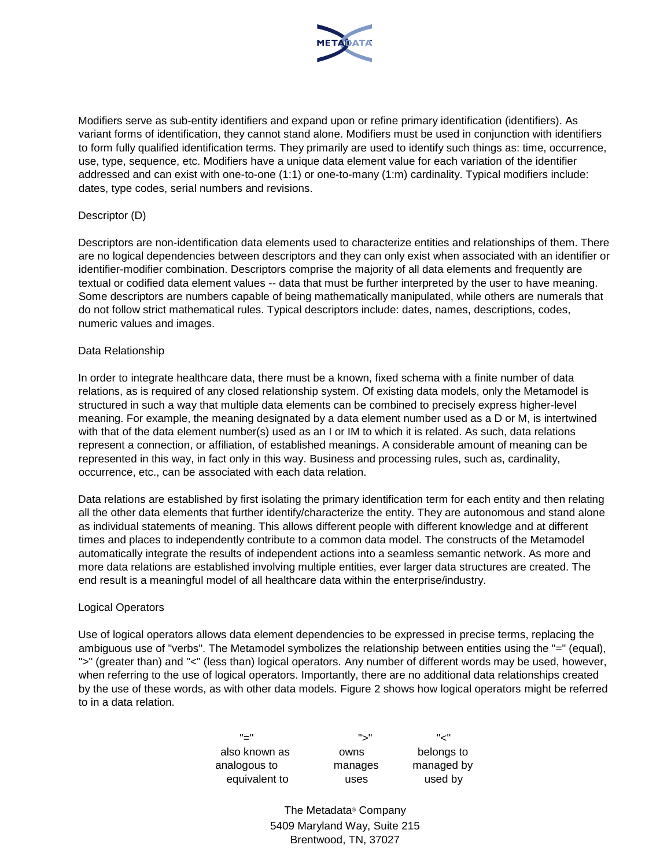

Modifiers serve as sub-entity identifiers and expand upon or refine primary identification (identifiers). As variant forms of identification, they cannot stand alone. Modifiers must be used in conjunction with identifiers to form fully qualified identification terms. They primarily are used to identify such things as: time, occurrence, use, type, sequence, etc. Modifiers have a unique data element value for each variation of the identifier addressed and can exist with one-to-one (1:1) or one-to-many (1:m) cardinality. Typical modifiers include: dates, type codes, serial numbers and revisions.

#### Descriptor (D)

Descriptors are non-identification data elements used to characterize entities and relationships of them. There are no logical dependencies between descriptors and they can only exist when associated with an identifier or identifier-modifier combination. Descriptors comprise the majority of all data elements and frequently are textual or codified data element values -- data that must be further interpreted by the user to have meaning. Some descriptors are numbers capable of being mathematically manipulated, while others are numerals that do not follow strict mathematical rules. Typical descriptors include: dates, names, descriptions, codes, numeric values and images.

#### Data Relationship

In order to integrate healthcare data, there must be a known, fixed schema with a finite number of data relations, as is required of any closed relationship system. Of existing data models, only the Metamodel is structured in such a way that multiple data elements can be combined to precisely express higher-level meaning. For example, the meaning designated by a data element number used as a D or M, is intertwined with that of the data element number(s) used as an I or IM to which it is related. As such, data relations represent a connection, or affiliation, of established meanings. A considerable amount of meaning can be represented in this way, in fact only in this way. Business and processing rules, such as, cardinality, occurrence, etc., can be associated with each data relation.

Data relations are established by first isolating the primary identification term for each entity and then relating all the other data elements that further identify/characterize the entity. They are autonomous and stand alone as individual statements of meaning. This allows different people with different knowledge and at different times and places to independently contribute to a common data model. The constructs of the Metamodel automatically integrate the results of independent actions into a seamless semantic network. As more and more data relations are established involving multiple entities, ever larger data structures are created. The end result is a meaningful model of all healthcare data within the enterprise/industry.

### Logical Operators

Use of logical operators allows data element dependencies to be expressed in precise terms, replacing the ambiguous use of "verbs". The Metamodel symbolizes the relationship between entities using the "=" (equal), ">" (greater than) and "<" (less than) logical operators. Any number of different words may be used, however, when referring to the use of logical operators. Importantly, there are no additional data relationships created by the use of these words, as with other data models. Figure 2 shows how logical operators might be referred to in a data relation.

| "—"           | "、"     | " سے "     |
|---------------|---------|------------|
| also known as | owns    | belongs to |
| analogous to  | manages | managed by |
| equivalent to | uses    | used by    |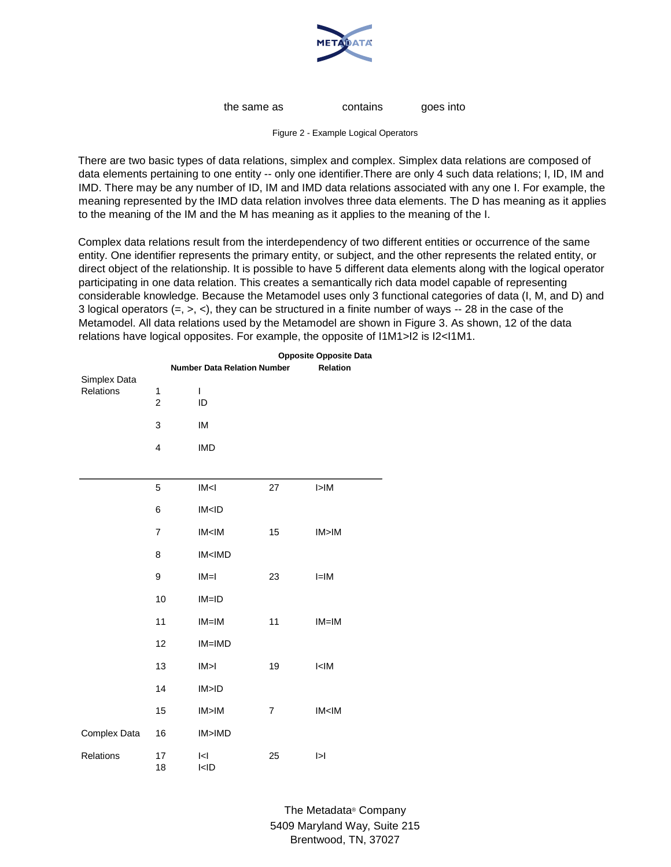

the same as contains goes into

Figure 2 - Example Logical Operators

There are two basic types of data relations, simplex and complex. Simplex data relations are composed of data elements pertaining to one entity -- only one identifier.There are only 4 such data relations; I, ID, IM and IMD. There may be any number of ID, IM and IMD data relations associated with any one I. For example, the meaning represented by the IMD data relation involves three data elements. The D has meaning as it applies to the meaning of the IM and the M has meaning as it applies to the meaning of the I.

Complex data relations result from the interdependency of two different entities or occurrence of the same entity. One identifier represents the primary entity, or subject, and the other represents the related entity, or direct object of the relationship. It is possible to have 5 different data elements along with the logical operator participating in one data relation. This creates a semantically rich data model capable of representing considerable knowledge. Because the Metamodel uses only 3 functional categories of data (I, M, and D) and 3 logical operators  $(=, >, <)$ , they can be structured in a finite number of ways  $-$  28 in the case of the Metamodel. All data relations used by the Metamodel are shown in Figure 3. As shown, 12 of the data relations have logical opposites. For example, the opposite of I1M1>I2 is I2<I1M1.

|                           | <b>Opposite Opposite Data</b>                  |                                          |    |                 |  |  |
|---------------------------|------------------------------------------------|------------------------------------------|----|-----------------|--|--|
|                           | Relation<br><b>Number Data Relation Number</b> |                                          |    |                 |  |  |
| Simplex Data<br>Relations | 1<br>$\overline{\mathbf{c}}$                   | L<br>ID                                  |    |                 |  |  |
|                           | 3                                              | IM                                       |    |                 |  |  |
|                           | 4                                              | <b>IMD</b>                               |    |                 |  |  |
|                           |                                                |                                          |    |                 |  |  |
|                           | 5                                              | IM <sub>1</sub>                          | 27 | I > IM          |  |  |
|                           | 6                                              | IM < 1D                                  |    |                 |  |  |
|                           | 7                                              | IM < IM                                  | 15 | IM>IM           |  |  |
|                           | 8                                              | IM <imd< td=""><td></td><td></td></imd<> |    |                 |  |  |
|                           | 9                                              | $IM=I$                                   | 23 | $I=IM$          |  |  |
|                           | 10                                             | $IM = ID$                                |    |                 |  |  |
|                           | 11                                             | $IM=IM$                                  | 11 | $IM=IM$         |  |  |
|                           | 12                                             | IM=IMD                                   |    |                 |  |  |
|                           | 13                                             | IM>1                                     | 19 | I < I M         |  |  |
|                           | 14                                             | IM>ID                                    |    |                 |  |  |
|                           | 15                                             | IM>IM                                    | 7  | IM < IM         |  |  |
| Complex Data              | 16                                             | IM>IMD                                   |    |                 |  |  |
| Relations                 | 17<br>18                                       | < <br>I < I D                            | 25 | $\vert > \vert$ |  |  |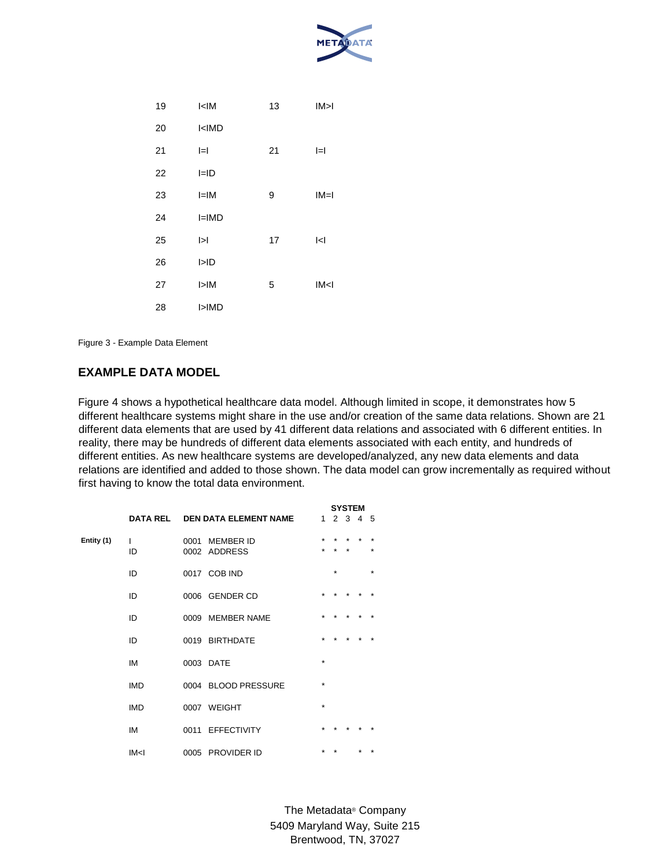

| 19 | I < I M         | 13 | IM>1            |
|----|-----------------|----|-----------------|
| 20 | I < IMD         |    |                 |
| 21 | $=$             | 21 | $=$             |
| 22 | $I = ID$        |    |                 |
| 23 | $I=IM$          | 9  | $IM=I$          |
| 24 | $I=IMD$         |    |                 |
| 25 | $\vert > \vert$ | 17 | $\leq$          |
| 26 | I>ID            |    |                 |
| 27 | I>IM            | 5  | IM <sub>1</sub> |
| 28 | I>IMD           |    |                 |
|    |                 |    |                 |

Figure 3 - Example Data Element

# **EXAMPLE DATA MODEL**

Figure 4 shows a hypothetical healthcare data model. Although limited in scope, it demonstrates how 5 different healthcare systems might share in the use and/or creation of the same data relations. Shown are 21 different data elements that are used by 41 different data relations and associated with 6 different entities. In reality, there may be hundreds of different data elements associated with each entity, and hundreds of different entities. As new healthcare systems are developed/analyzed, any new data elements and data relations are identified and added to those shown. The data model can grow incrementally as required without first having to know the total data environment.

|            |                 |      |                                  | <b>SYSTEM</b> |         |             |  |                    |  |  |
|------------|-----------------|------|----------------------------------|---------------|---------|-------------|--|--------------------|--|--|
|            | <b>DATA REL</b> |      | <b>DEN DATA ELEMENT NAME</b>     | $\mathbf{1}$  |         | $2 \t3 \t4$ |  | -5                 |  |  |
| Entity (1) | L<br>ID         | 0001 | <b>MEMBER ID</b><br>0002 ADDRESS | $\star$       |         |             |  | $\star$<br>$\star$ |  |  |
|            | ID              |      | 0017 COB IND                     |               | $\star$ |             |  | $\star$            |  |  |
|            | ID              |      | 0006 GENDER CD                   | ÷             |         |             |  |                    |  |  |
|            | ID              |      | 0009 MEMBER NAME                 |               |         |             |  |                    |  |  |
|            | ID              |      | 0019 BIRTHDATE                   |               |         |             |  |                    |  |  |
|            | IM              |      | 0003 DATE                        | $\star$       |         |             |  |                    |  |  |
|            | <b>IMD</b>      |      | 0004 BLOOD PRESSURE              | $\star$       |         |             |  |                    |  |  |
|            | <b>IMD</b>      |      | 0007 WEIGHT                      | $\star$       |         |             |  |                    |  |  |
|            | IM              |      | 0011 EFFECTIVITY                 |               |         |             |  |                    |  |  |
|            | IM <sub>1</sub> |      | 0005 PROVIDER ID                 |               |         |             |  |                    |  |  |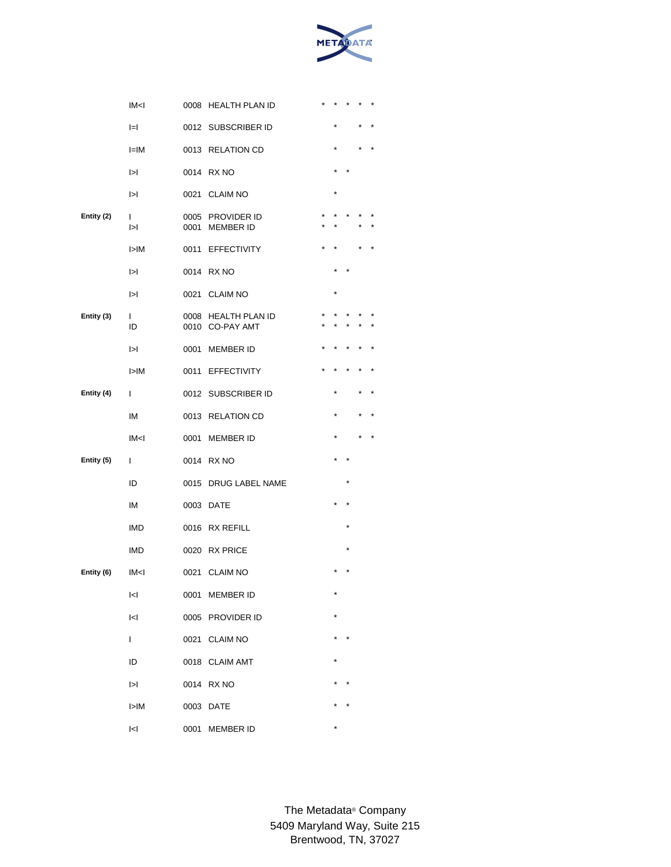

|            | IM <sub>1</sub>            |              | 0008 HEALTH PLAN ID                        |         |         |  |
|------------|----------------------------|--------------|--------------------------------------------|---------|---------|--|
|            | $=$                        |              | 0012 SUBSCRIBER ID                         | $\star$ |         |  |
|            | l=IM                       |              | 0013 RELATION CD                           |         |         |  |
|            | $\mathsf{I}$               |              | 0014 RX NO                                 |         |         |  |
|            | $\mathsf{I}$               | 0021         | <b>CLAIM NO</b>                            | $\star$ |         |  |
| Entity (2) | L<br>$\blacktriangleright$ | 0005<br>0001 | PROVIDER ID<br><b>MEMBER ID</b>            |         |         |  |
|            | I>IM                       | 0011         | <b>EFFECTIVITY</b>                         |         |         |  |
|            | $\vert > \vert$            |              | 0014 RX NO                                 | $\star$ |         |  |
|            | $\mathsf{I}$               | 0021         | <b>CLAIM NO</b>                            |         |         |  |
| Entity (3) | L<br>ID                    | 0008<br>0010 | <b>HEALTH PLAN ID</b><br><b>CO-PAY AMT</b> |         |         |  |
|            | $\mathsf{I}$               | 0001         | <b>MEMBER ID</b>                           |         |         |  |
|            | I>IM                       | 0011         | <b>EFFECTIVITY</b>                         |         |         |  |
| Entity (4) | T                          |              | 0012 SUBSCRIBER ID                         |         |         |  |
|            | ΙM                         |              | 0013 RELATION CD                           | $\star$ |         |  |
|            | IM <sub>1</sub>            | 0001         | <b>MEMBER ID</b>                           |         |         |  |
| Entity (5) | T                          |              | 0014 RX NO                                 |         |         |  |
|            | ID                         | 0015         | DRUG LABEL NAME                            |         | $\star$ |  |
|            | IM                         | 0003         | DATE                                       |         |         |  |
|            | <b>IMD</b>                 |              | 0016 RX REFILL                             |         |         |  |
|            | <b>IMD</b>                 |              | 0020 RX PRICE                              |         |         |  |
| Entity (6) | IM <sub>1</sub>            | 0021         | <b>CLAIM NO</b>                            |         |         |  |
|            | $\vert$ < $\vert$          | 0001         | <b>MEMBER ID</b>                           | *       |         |  |
|            | <                          |              | 0005 PROVIDER ID                           |         |         |  |
|            | $\mathbf{I}$               |              | 0021 CLAIM NO                              |         |         |  |
|            | ID                         |              | 0018 CLAIM AMT                             |         |         |  |
|            | $\vert > \vert$            |              | 0014 RX NO                                 |         |         |  |
|            | I>IM                       |              | 0003 DATE                                  |         |         |  |
|            | <                          | 0001         | <b>MEMBER ID</b>                           |         |         |  |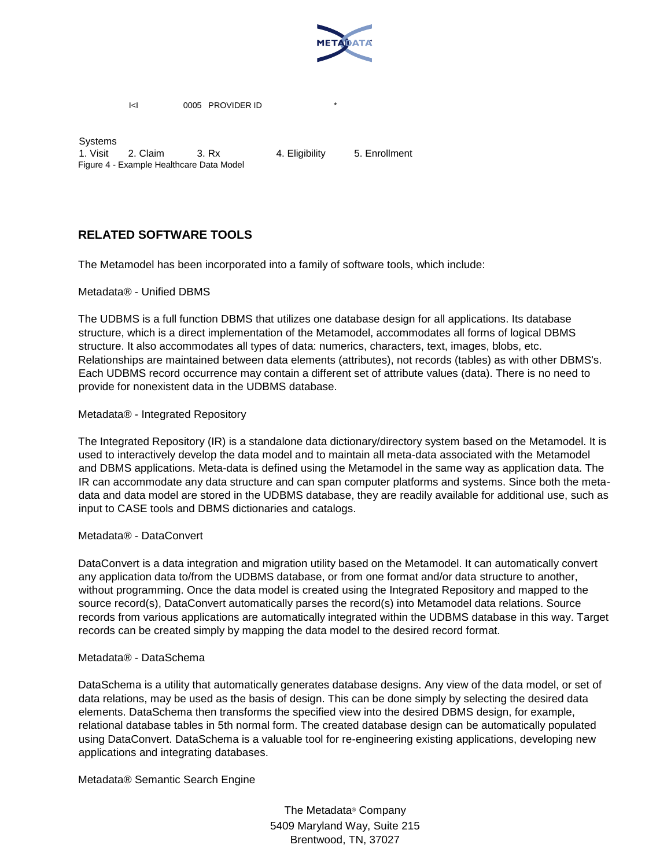

I<I 0005 PROVIDER ID

Systems 1. Visit 2. Claim 3. Rx 4. Eligibility 5. Enrollment Figure 4 - Example Healthcare Data Model

# **RELATED SOFTWARE TOOLS**

The Metamodel has been incorporated into a family of software tools, which include:

Metadata® - Unified DBMS

The UDBMS is a full function DBMS that utilizes one database design for all applications. Its database structure, which is a direct implementation of the Metamodel, accommodates all forms of logical DBMS structure. It also accommodates all types of data: numerics, characters, text, images, blobs, etc. Relationships are maintained between data elements (attributes), not records (tables) as with other DBMS's. Each UDBMS record occurrence may contain a different set of attribute values (data). There is no need to provide for nonexistent data in the UDBMS database.

### Metadata® - Integrated Repository

The Integrated Repository (IR) is a standalone data dictionary/directory system based on the Metamodel. It is used to interactively develop the data model and to maintain all meta-data associated with the Metamodel and DBMS applications. Meta-data is defined using the Metamodel in the same way as application data. The IR can accommodate any data structure and can span computer platforms and systems. Since both the metadata and data model are stored in the UDBMS database, they are readily available for additional use, such as input to CASE tools and DBMS dictionaries and catalogs.

### Metadata® - DataConvert

DataConvert is a data integration and migration utility based on the Metamodel. It can automatically convert any application data to/from the UDBMS database, or from one format and/or data structure to another, without programming. Once the data model is created using the Integrated Repository and mapped to the source record(s), DataConvert automatically parses the record(s) into Metamodel data relations. Source records from various applications are automatically integrated within the UDBMS database in this way. Target records can be created simply by mapping the data model to the desired record format.

#### Metadata® - DataSchema

DataSchema is a utility that automatically generates database designs. Any view of the data model, or set of data relations, may be used as the basis of design. This can be done simply by selecting the desired data elements. DataSchema then transforms the specified view into the desired DBMS design, for example, relational database tables in 5th normal form. The created database design can be automatically populated using DataConvert. DataSchema is a valuable tool for re-engineering existing applications, developing new applications and integrating databases.

Metadata® Semantic Search Engine